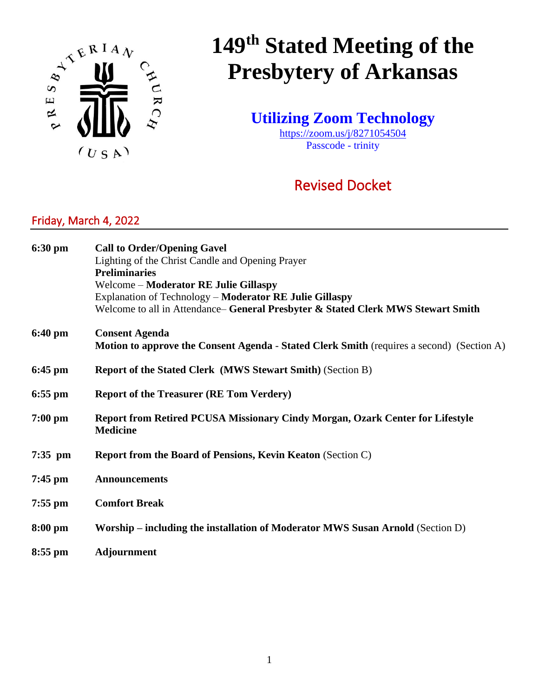

# **149th Stated Meeting of the Presbytery of Arkansas**

**Utilizing Zoom Technology**

<https://zoom.us/j/8271054504> Passcode - trinity

# Revised Docket

### Friday, March 4, 2022

| 6:30 pm           | <b>Call to Order/Opening Gavel</b><br>Lighting of the Christ Candle and Opening Prayer<br><b>Preliminaries</b><br>Welcome – Moderator RE Julie Gillaspy<br>Explanation of Technology - Moderator RE Julie Gillaspy |  |  |
|-------------------|--------------------------------------------------------------------------------------------------------------------------------------------------------------------------------------------------------------------|--|--|
|                   | Welcome to all in Attendance-General Presbyter & Stated Clerk MWS Stewart Smith                                                                                                                                    |  |  |
| $6:40 \text{ pm}$ | <b>Consent Agenda</b><br><b>Motion to approve the Consent Agenda - Stated Clerk Smith</b> (requires a second) (Section A)                                                                                          |  |  |
| $6:45$ pm         | <b>Report of the Stated Clerk (MWS Stewart Smith) (Section B)</b>                                                                                                                                                  |  |  |
| $6:55$ pm         | <b>Report of the Treasurer (RE Tom Verdery)</b>                                                                                                                                                                    |  |  |
| $7:00$ pm         | Report from Retired PCUSA Missionary Cindy Morgan, Ozark Center for Lifestyle<br><b>Medicine</b>                                                                                                                   |  |  |
| $7:35$ pm         | <b>Report from the Board of Pensions, Kevin Keaton (Section C)</b>                                                                                                                                                 |  |  |
| $7:45$ pm         | <b>Announcements</b>                                                                                                                                                                                               |  |  |
| $7:55$ pm         | <b>Comfort Break</b>                                                                                                                                                                                               |  |  |
| 8:00 pm           | Worship – including the installation of Moderator MWS Susan Arnold (Section D)                                                                                                                                     |  |  |
| $8:55$ pm         | <b>Adjournment</b>                                                                                                                                                                                                 |  |  |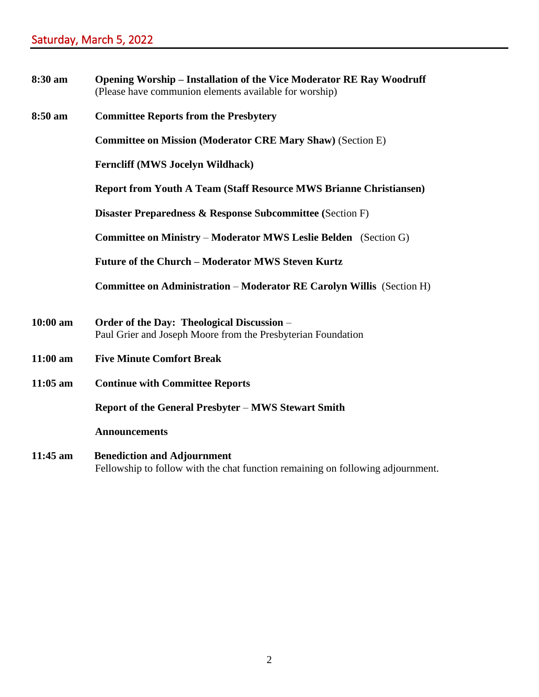| 8:30 am         | <b>Opening Worship – Installation of the Vice Moderator RE Ray Woodruff</b><br>(Please have communion elements available for worship) |
|-----------------|---------------------------------------------------------------------------------------------------------------------------------------|
| 8:50 am         | <b>Committee Reports from the Presbytery</b>                                                                                          |
|                 | <b>Committee on Mission (Moderator CRE Mary Shaw) (Section E)</b>                                                                     |
|                 | <b>Ferncliff (MWS Jocelyn Wildhack)</b>                                                                                               |
|                 | <b>Report from Youth A Team (Staff Resource MWS Brianne Christiansen)</b>                                                             |
|                 | <b>Disaster Preparedness &amp; Response Subcommittee (Section F)</b>                                                                  |
|                 | <b>Committee on Ministry – Moderator MWS Leslie Belden</b> (Section G)                                                                |
|                 | Future of the Church – Moderator MWS Steven Kurtz                                                                                     |
|                 | Committee on Administration - Moderator RE Carolyn Willis (Section H)                                                                 |
| $10:00$ am      | Order of the Day: Theological Discussion –<br>Paul Grier and Joseph Moore from the Presbyterian Foundation                            |
| $11:00$ am      | <b>Five Minute Comfort Break</b>                                                                                                      |
| $11:05$ am      | <b>Continue with Committee Reports</b>                                                                                                |
|                 | <b>Report of the General Presbyter – MWS Stewart Smith</b>                                                                            |
|                 | <b>Announcements</b>                                                                                                                  |
| 11.4 $\epsilon$ | $D$ and $L$ and $L$ and $L$ and $L$                                                                                                   |

**11:45 am Benediction and Adjournment** Fellowship to follow with the chat function remaining on following adjournment.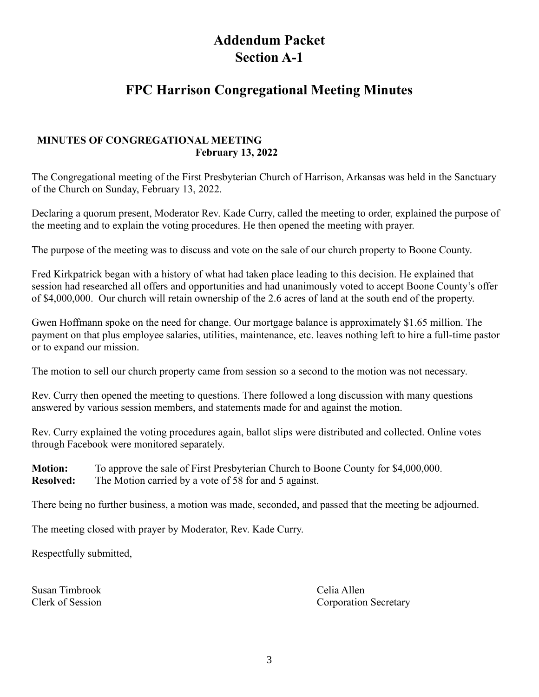# **Addendum Packet Section A-1**

## **FPC Harrison Congregational Meeting Minutes**

### **MINUTES OF CONGREGATIONAL MEETING February 13, 2022**

The Congregational meeting of the First Presbyterian Church of Harrison, Arkansas was held in the Sanctuary of the Church on Sunday, February 13, 2022.

Declaring a quorum present, Moderator Rev. Kade Curry, called the meeting to order, explained the purpose of the meeting and to explain the voting procedures. He then opened the meeting with prayer.

The purpose of the meeting was to discuss and vote on the sale of our church property to Boone County.

Fred Kirkpatrick began with a history of what had taken place leading to this decision. He explained that session had researched all offers and opportunities and had unanimously voted to accept Boone County's offer of \$4,000,000. Our church will retain ownership of the 2.6 acres of land at the south end of the property.

Gwen Hoffmann spoke on the need for change. Our mortgage balance is approximately \$1.65 million. The payment on that plus employee salaries, utilities, maintenance, etc. leaves nothing left to hire a full-time pastor or to expand our mission.

The motion to sell our church property came from session so a second to the motion was not necessary.

Rev. Curry then opened the meeting to questions. There followed a long discussion with many questions answered by various session members, and statements made for and against the motion.

Rev. Curry explained the voting procedures again, ballot slips were distributed and collected. Online votes through Facebook were monitored separately.

**Motion:** To approve the sale of First Presbyterian Church to Boone County for \$4,000,000. **Resolved:** The Motion carried by a vote of 58 for and 5 against.

There being no further business, a motion was made, seconded, and passed that the meeting be adjourned.

The meeting closed with prayer by Moderator, Rev. Kade Curry.

Respectfully submitted,

Susan Timbrook Celia Allen<br>Clerk of Session Corporation

Corporation Secretary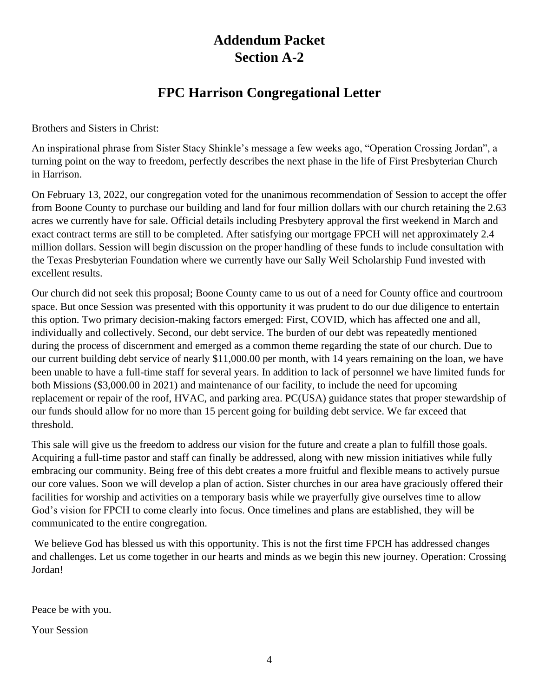# **Addendum Packet Section A-2**

# **FPC Harrison Congregational Letter**

Brothers and Sisters in Christ:

An inspirational phrase from Sister Stacy Shinkle's message a few weeks ago, "Operation Crossing Jordan", a turning point on the way to freedom, perfectly describes the next phase in the life of First Presbyterian Church in Harrison.

On February 13, 2022, our congregation voted for the unanimous recommendation of Session to accept the offer from Boone County to purchase our building and land for four million dollars with our church retaining the 2.63 acres we currently have for sale. Official details including Presbytery approval the first weekend in March and exact contract terms are still to be completed. After satisfying our mortgage FPCH will net approximately 2.4 million dollars. Session will begin discussion on the proper handling of these funds to include consultation with the Texas Presbyterian Foundation where we currently have our Sally Weil Scholarship Fund invested with excellent results.

Our church did not seek this proposal; Boone County came to us out of a need for County office and courtroom space. But once Session was presented with this opportunity it was prudent to do our due diligence to entertain this option. Two primary decision-making factors emerged: First, COVID, which has affected one and all, individually and collectively. Second, our debt service. The burden of our debt was repeatedly mentioned during the process of discernment and emerged as a common theme regarding the state of our church. Due to our current building debt service of nearly \$11,000.00 per month, with 14 years remaining on the loan, we have been unable to have a full-time staff for several years. In addition to lack of personnel we have limited funds for both Missions (\$3,000.00 in 2021) and maintenance of our facility, to include the need for upcoming replacement or repair of the roof, HVAC, and parking area. PC(USA) guidance states that proper stewardship of our funds should allow for no more than 15 percent going for building debt service. We far exceed that threshold.

This sale will give us the freedom to address our vision for the future and create a plan to fulfill those goals. Acquiring a full-time pastor and staff can finally be addressed, along with new mission initiatives while fully embracing our community. Being free of this debt creates a more fruitful and flexible means to actively pursue our core values. Soon we will develop a plan of action. Sister churches in our area have graciously offered their facilities for worship and activities on a temporary basis while we prayerfully give ourselves time to allow God's vision for FPCH to come clearly into focus. Once timelines and plans are established, they will be communicated to the entire congregation.

We believe God has blessed us with this opportunity. This is not the first time FPCH has addressed changes and challenges. Let us come together in our hearts and minds as we begin this new journey. Operation: Crossing Jordan!

Peace be with you.

Your Session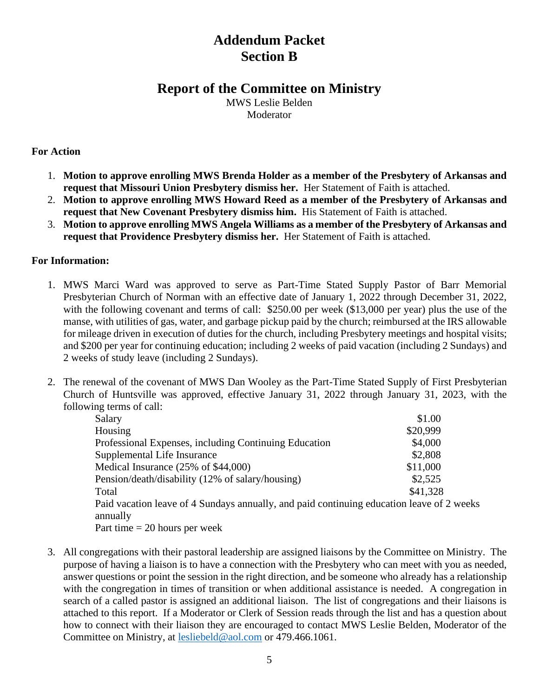# **Addendum Packet Section B**

### **Report of the Committee on Ministry**

MWS Leslie Belden Moderator

### **For Action**

- 1. **Motion to approve enrolling MWS Brenda Holder as a member of the Presbytery of Arkansas and request that Missouri Union Presbytery dismiss her.** Her Statement of Faith is attached.
- 2. **Motion to approve enrolling MWS Howard Reed as a member of the Presbytery of Arkansas and request that New Covenant Presbytery dismiss him.** His Statement of Faith is attached.
- 3. **Motion to approve enrolling MWS Angela Williams as a member of the Presbytery of Arkansas and request that Providence Presbytery dismiss her.** Her Statement of Faith is attached.

### **For Information:**

- 1. MWS Marci Ward was approved to serve as Part-Time Stated Supply Pastor of Barr Memorial Presbyterian Church of Norman with an effective date of January 1, 2022 through December 31, 2022, with the following covenant and terms of call: \$250.00 per week (\$13,000 per year) plus the use of the manse, with utilities of gas, water, and garbage pickup paid by the church; reimbursed at the IRS allowable for mileage driven in execution of duties for the church, including Presbytery meetings and hospital visits; and \$200 per year for continuing education; including 2 weeks of paid vacation (including 2 Sundays) and 2 weeks of study leave (including 2 Sundays).
- 2. The renewal of the covenant of MWS Dan Wooley as the Part-Time Stated Supply of First Presbyterian Church of Huntsville was approved, effective January 31, 2022 through January 31, 2023, with the following terms of call:

| Salary                                                                                    | \$1.00   |  |
|-------------------------------------------------------------------------------------------|----------|--|
| Housing                                                                                   | \$20,999 |  |
| Professional Expenses, including Continuing Education                                     | \$4,000  |  |
| Supplemental Life Insurance                                                               | \$2,808  |  |
| Medical Insurance (25% of \$44,000)                                                       | \$11,000 |  |
| Pension/death/disability (12% of salary/housing)                                          | \$2,525  |  |
| Total                                                                                     | \$41,328 |  |
| Paid vacation leave of 4 Sundays annually, and paid continuing education leave of 2 weeks |          |  |
| annually                                                                                  |          |  |
| Part time $= 20$ hours per week                                                           |          |  |

3. All congregations with their pastoral leadership are assigned liaisons by the Committee on Ministry. The purpose of having a liaison is to have a connection with the Presbytery who can meet with you as needed, answer questions or point the session in the right direction, and be someone who already has a relationship with the congregation in times of transition or when additional assistance is needed. A congregation in search of a called pastor is assigned an additional liaison. The list of congregations and their liaisons is attached to this report. If a Moderator or Clerk of Session reads through the list and has a question about how to connect with their liaison they are encouraged to contact MWS Leslie Belden, Moderator of the Committee on Ministry, at [lesliebeld@aol.com](mailto:lesliebeld@aol.com) or 479.466.1061.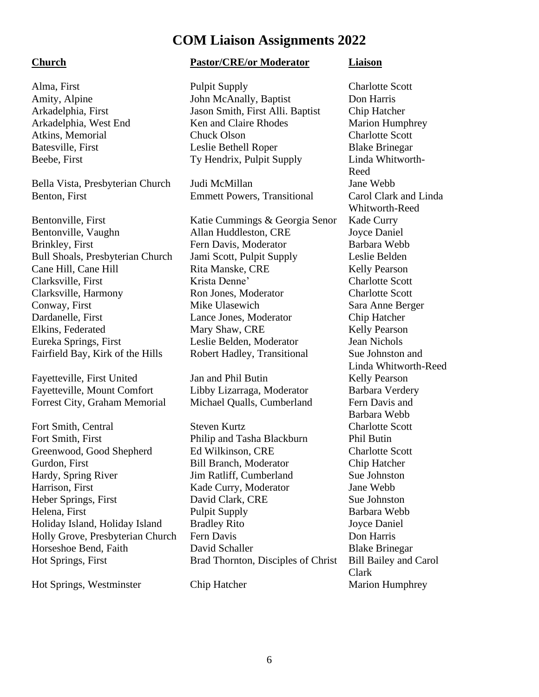## **COM Liaison Assignments 2022**

Bella Vista, Presbyterian Church Judi McMillan Jane Webb Benton, First Emmett Powers, Transitional Carol Clark and Linda

Bentonville, First Katie Cummings & Georgia Senor Kade Curry Bentonville, Vaughn Allan Huddleston, CRE Joyce Daniel Brinkley, First Fern Davis, Moderator Barbara Webb Bull Shoals, Presbyterian Church Jami Scott, Pulpit Supply Leslie Belden Cane Hill, Cane Hill **Rita Manske, CRE** Kelly Pearson Clarksville, First Krista Denne' Charlotte Scott<br>
Clarksville, Harmony Ron Jones, Moderator Charlotte Scott Clarksville, Harmony Ron Jones, Moderator Conway, First Mike Ulasewich Sara Anne Berger Dardanelle, First Lance Jones, Moderator Chip Hatcher Elkins, Federated Mary Shaw, CRE Kelly Pearson Eureka Springs, First Leslie Belden, Moderator Jean Nichols Fairfield Bay, Kirk of the Hills Robert Hadley, Transitional Sue Johnston and

Fayetteville, First United Jan and Phil Butin Kelly Pearson Fayetteville, Mount Comfort Libby Lizarraga, Moderator Barbara Verdery Forrest City, Graham Memorial Michael Qualls, Cumberland Fern Davis and

Fort Smith, Central Steven Kurtz Charlotte Scott Fort Smith, First Philip and Tasha Blackburn Phil Butin Greenwood, Good Shepherd Ed Wilkinson, CRE Charlotte Scott Gurdon, First Bill Branch, Moderator Chip Hatcher Hardy, Spring River Jim Ratliff, Cumberland Sue Johnston Harrison, First Kade Curry, Moderator Jane Webb Heber Springs, First David Clark, CRE Sue Johnston Helena, First Pulpit Supply Barbara Webb Holiday Island, Holiday Island Bradley Rito Joyce Daniel Holly Grove, Presbyterian Church Fern Davis Don Harris Horseshoe Bend, Faith **David Schaller** Blake Brinegar Hot Springs, First Brad Thornton, Disciples of Christ Bill Bailey and Carol

Hot Springs, Westminster Chip Hatcher Marion Humphrey

### **Church Pastor/CRE/or Moderator Liaison**

Alma, First Pulpit Supply Charlotte Scott Amity, Alpine John McAnally, Baptist Don Harris Arkadelphia, First Jason Smith, First Alli. Baptist Chip Hatcher Arkadelphia, West End Ken and Claire Rhodes Marion Humphrey Atkins, Memorial Chuck Olson Charlotte Scott Batesville, First Leslie Bethell Roper Blake Brinegar Beebe, First Ty Hendrix, Pulpit Supply Linda Whitworth-

Reed Whitworth-Reed Linda Whitworth-Reed Barbara Webb Clark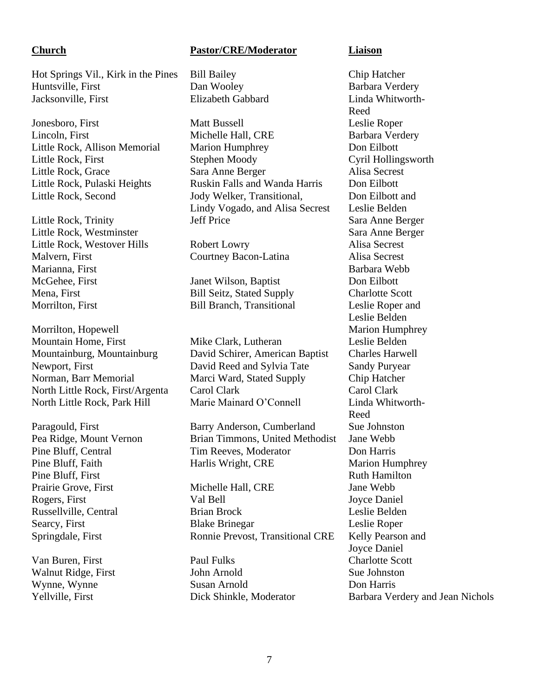Hot Springs Vil., Kirk in the Pines Bill Bailey Chip Hatcher Huntsville, First Dan Wooley Dan Wooley Barbara Verdery Jacksonville, First Elizabeth Gabbard Linda Whitworth-

Jonesboro, First **Matt Bussell** Matt Bussell Leslie Roper

Little Rock, Westminster Sara Anne Berger Little Rock, Westover Hills Robert Lowry Alisa Secrest Malvern, First Courtney Bacon-Latina Alisa Secrest Marianna, First Barbara Webb McGehee, First Janet Wilson, Baptist Don Eilbott Mena, First Bill Seitz, Stated Supply Charlotte Scott

Morrilton, Hopewell Marion Humphrey

Pine Bluff, First Ruth Hamilton

### **Church Pastor/CRE/Moderator Liaison**

Lincoln, First Michelle Hall, CRE Barbara Verdery Little Rock, Allison Memorial Marion Humphrey Don Eilbott Little Rock, First Stephen Moody Cyril Hollingsworth Little Rock, Grace Sara Anne Berger Alisa Secrest Little Rock, Pulaski Heights Ruskin Falls and Wanda Harris Don Eilbott Little Rock, Second Jody Welker, Transitional, Don Eilbott and Lindy Vogado, and Alisa Secrest Leslie Belden Little Rock, Trinity Jeff Price Sara Anne Berger

Morrilton, First Bill Branch, Transitional Leslie Roper and

Mountain Home, First Mike Clark, Lutheran Leslie Belden Mountainburg, Mountainburg David Schirer, American Baptist Charles Harwell Newport, First David Reed and Sylvia Tate Sandy Puryear Norman, Barr Memorial Marci Ward, Stated Supply Chip Hatcher North Little Rock, First/Argenta Carol Clark Carol Clark North Little Rock, Park Hill Marie Mainard O'Connell Linda Whitworth-

Paragould, First Barry Anderson, Cumberland Sue Johnston Pea Ridge, Mount Vernon Brian Timmons, United Methodist Jane Webb Pine Bluff, Central Tim Reeves, Moderator Don Harris Pine Bluff, Faith Harlis Wright, CRE Marion Humphrey

Prairie Grove, First **Michelle Hall, CRE** Jane Webb Rogers, First Val Bell Joyce Daniel Russellville, Central Brian Brock Leslie Belden Searcy, First Blake Brinegar Leslie Roper Springdale, First Ronnie Prevost, Transitional CRE Kelly Pearson and

Van Buren, First Paul Fulks Charlotte Scott Walnut Ridge, First John Arnold Sue Johnston Wynne, Wynne Susan Arnold Don Harris<br>
Yellville. First Dick Shinkle. Moderator Barbara Ve

Reed Leslie Belden Reed Joyce Daniel Dick Shinkle, Moderator Barbara Verdery and Jean Nichols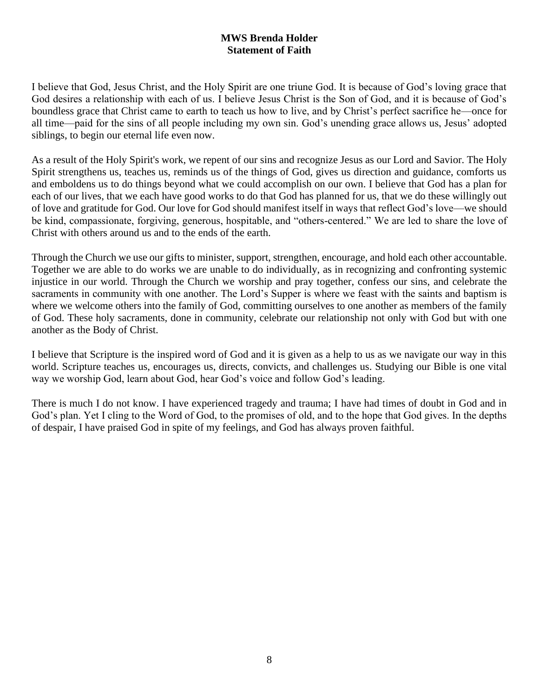### **MWS Brenda Holder Statement of Faith**

I believe that God, Jesus Christ, and the Holy Spirit are one triune God. It is because of God's loving grace that God desires a relationship with each of us. I believe Jesus Christ is the Son of God, and it is because of God's boundless grace that Christ came to earth to teach us how to live, and by Christ's perfect sacrifice he—once for all time—paid for the sins of all people including my own sin. God's unending grace allows us, Jesus' adopted siblings, to begin our eternal life even now.

As a result of the Holy Spirit's work, we repent of our sins and recognize Jesus as our Lord and Savior. The Holy Spirit strengthens us, teaches us, reminds us of the things of God, gives us direction and guidance, comforts us and emboldens us to do things beyond what we could accomplish on our own. I believe that God has a plan for each of our lives, that we each have good works to do that God has planned for us, that we do these willingly out of love and gratitude for God. Our love for God should manifest itself in ways that reflect God's love—we should be kind, compassionate, forgiving, generous, hospitable, and "others-centered." We are led to share the love of Christ with others around us and to the ends of the earth.

Through the Church we use our gifts to minister, support, strengthen, encourage, and hold each other accountable. Together we are able to do works we are unable to do individually, as in recognizing and confronting systemic injustice in our world. Through the Church we worship and pray together, confess our sins, and celebrate the sacraments in community with one another. The Lord's Supper is where we feast with the saints and baptism is where we welcome others into the family of God, committing ourselves to one another as members of the family of God. These holy sacraments, done in community, celebrate our relationship not only with God but with one another as the Body of Christ.

I believe that Scripture is the inspired word of God and it is given as a help to us as we navigate our way in this world. Scripture teaches us, encourages us, directs, convicts, and challenges us. Studying our Bible is one vital way we worship God, learn about God, hear God's voice and follow God's leading.

There is much I do not know. I have experienced tragedy and trauma; I have had times of doubt in God and in God's plan. Yet I cling to the Word of God, to the promises of old, and to the hope that God gives. In the depths of despair, I have praised God in spite of my feelings, and God has always proven faithful.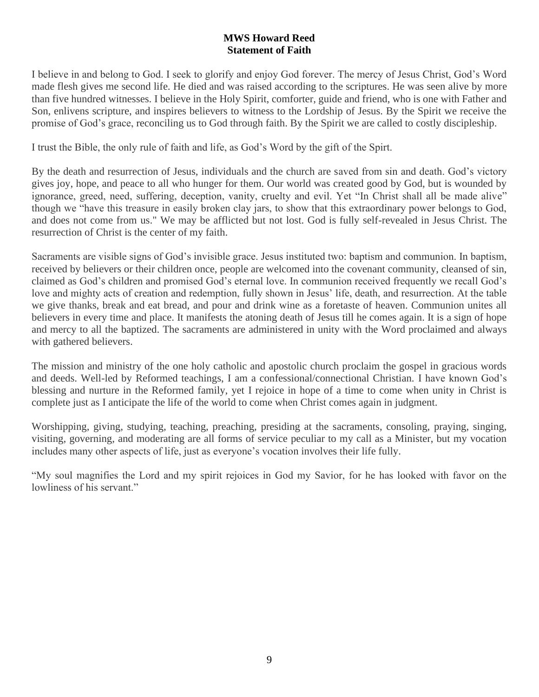### **MWS Howard Reed Statement of Faith**

I believe in and belong to God. I seek to glorify and enjoy God forever. The mercy of Jesus Christ, God's Word made flesh gives me second life. He died and was raised according to the scriptures. He was seen alive by more than five hundred witnesses. I believe in the Holy Spirit, comforter, guide and friend, who is one with Father and Son, enlivens scripture, and inspires believers to witness to the Lordship of Jesus. By the Spirit we receive the promise of God's grace, reconciling us to God through faith. By the Spirit we are called to costly discipleship.

I trust the Bible, the only rule of faith and life, as God's Word by the gift of the Spirt.

By the death and resurrection of Jesus, individuals and the church are saved from sin and death. God's victory gives joy, hope, and peace to all who hunger for them. Our world was created good by God, but is wounded by ignorance, greed, need, suffering, deception, vanity, cruelty and evil. Yet "In Christ shall all be made alive" though we "have this treasure in easily broken clay jars, to show that this extraordinary power belongs to God, and does not come from us." We may be afflicted but not lost. God is fully self-revealed in Jesus Christ. The resurrection of Christ is the center of my faith.

Sacraments are visible signs of God's invisible grace. Jesus instituted two: baptism and communion. In baptism, received by believers or their children once, people are welcomed into the covenant community, cleansed of sin, claimed as God's children and promised God's eternal love. In communion received frequently we recall God's love and mighty acts of creation and redemption, fully shown in Jesus' life, death, and resurrection. At the table we give thanks, break and eat bread, and pour and drink wine as a foretaste of heaven. Communion unites all believers in every time and place. It manifests the atoning death of Jesus till he comes again. It is a sign of hope and mercy to all the baptized. The sacraments are administered in unity with the Word proclaimed and always with gathered believers.

The mission and ministry of the one holy catholic and apostolic church proclaim the gospel in gracious words and deeds. Well-led by Reformed teachings, I am a confessional/connectional Christian. I have known God's blessing and nurture in the Reformed family, yet I rejoice in hope of a time to come when unity in Christ is complete just as I anticipate the life of the world to come when Christ comes again in judgment.

Worshipping, giving, studying, teaching, preaching, presiding at the sacraments, consoling, praying, singing, visiting, governing, and moderating are all forms of service peculiar to my call as a Minister, but my vocation includes many other aspects of life, just as everyone's vocation involves their life fully.

"My soul magnifies the Lord and my spirit rejoices in God my Savior, for he has looked with favor on the lowliness of his servant."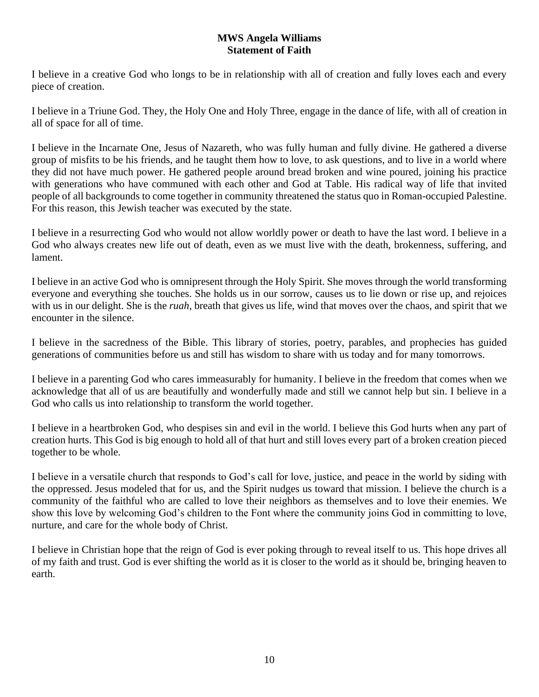### **MWS Angela Williams Statement of Faith**

I believe in a creative God who longs to be in relationship with all of creation and fully loves each and every piece of creation.

I believe in a Triune God. They, the Holy One and Holy Three, engage in the dance of life, with all of creation in all of space for all of time.

I believe in the Incarnate One, Jesus of Nazareth, who was fully human and fully divine. He gathered a diverse group of misfits to be his friends, and he taught them how to love, to ask questions, and to live in a world where they did not have much power. He gathered people around bread broken and wine poured, joining his practice with generations who have communed with each other and God at Table. His radical way of life that invited people of all backgrounds to come together in community threatened the status quo in Roman-occupied Palestine. For this reason, this Jewish teacher was executed by the state.

I believe in a resurrecting God who would not allow worldly power or death to have the last word. I believe in a God who always creates new life out of death, even as we must live with the death, brokenness, suffering, and lament.

I believe in an active God who is omnipresent through the Holy Spirit. She moves through the world transforming everyone and everything she touches. She holds us in our sorrow, causes us to lie down or rise up, and rejoices with us in our delight. She is the *ruah*, breath that gives us life, wind that moves over the chaos, and spirit that we encounter in the silence.

I believe in the sacredness of the Bible. This library of stories, poetry, parables, and prophecies has guided generations of communities before us and still has wisdom to share with us today and for many tomorrows.

I believe in a parenting God who cares immeasurably for humanity. I believe in the freedom that comes when we acknowledge that all of us are beautifully and wonderfully made and still we cannot help but sin. I believe in a God who calls us into relationship to transform the world together.

I believe in a heartbroken God, who despises sin and evil in the world. I believe this God hurts when any part of creation hurts. This God is big enough to hold all of that hurt and still loves every part of a broken creation pieced together to be whole.

I believe in a versatile church that responds to God's call for love, justice, and peace in the world by siding with the oppressed. Jesus modeled that for us, and the Spirit nudges us toward that mission. I believe the church is a community of the faithful who are called to love their neighbors as themselves and to love their enemies. We show this love by welcoming God's children to the Font where the community joins God in committing to love, nurture, and care for the whole body of Christ.

I believe in Christian hope that the reign of God is ever poking through to reveal itself to us. This hope drives all of my faith and trust. God is ever shifting the world as it is closer to the world as it should be, bringing heaven to earth.